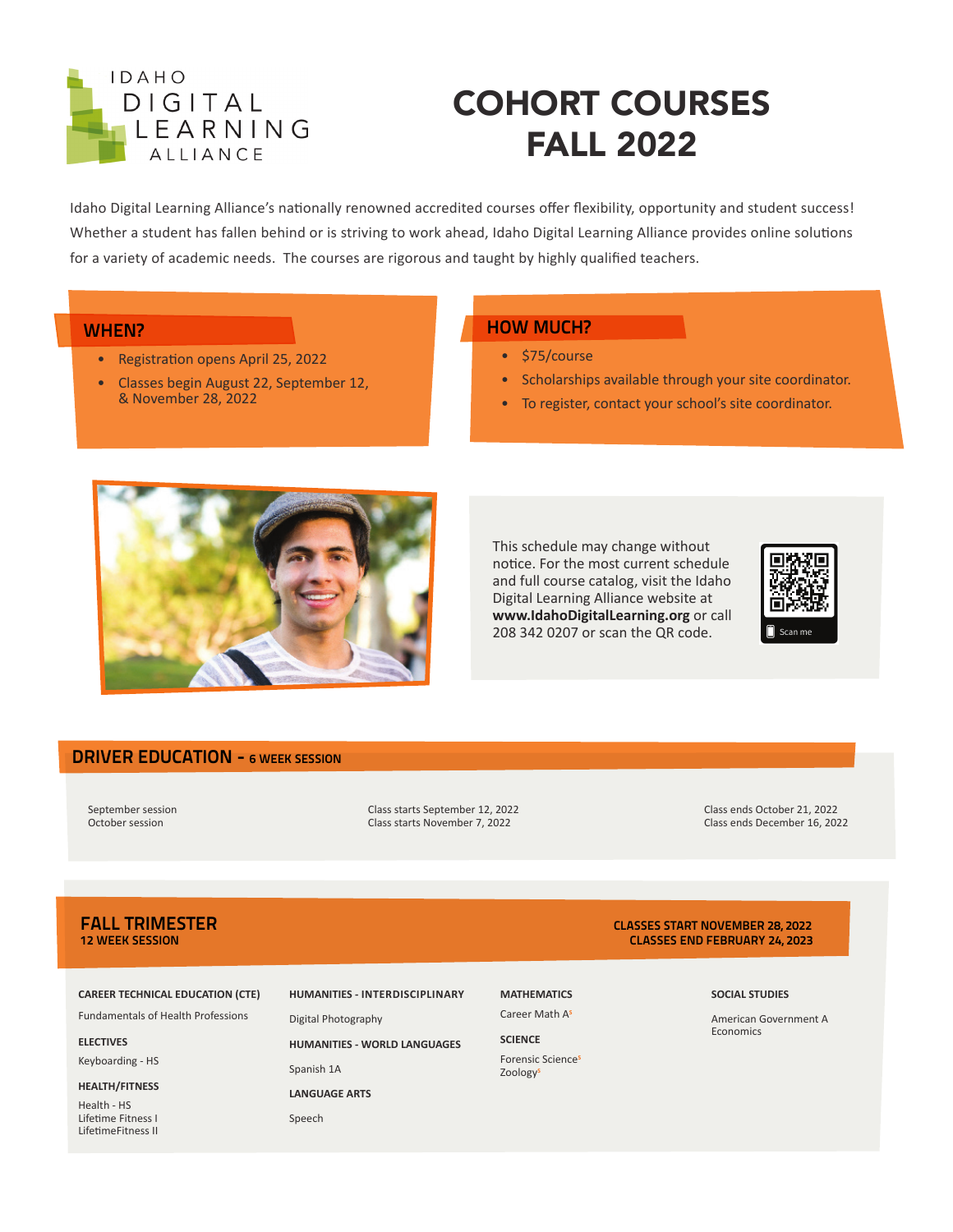

# COHORT COURSES FALL 2022

Idaho Digital Learning Alliance's nationally renowned accredited courses offer flexibility, opportunity and student success! Whether a student has fallen behind or is striving to work ahead, Idaho Digital Learning Alliance provides online solutions for a variety of academic needs. The courses are rigorous and taught by highly qualified teachers.

## WHEN?

- Registration opens April 25, 2022
- Classes begin August 22, September 12, & November 28, 2022

# HOW MUCH?

- \$75/course
- Scholarships available through your site coordinator.
- To register, contact your school's site coordinator.



This schedule may change without notice. For the most current schedule and full course catalog, visit the Idaho Digital Learning Alliance website at **www.IdahoDigitalLearning.org** or call 208 342 0207 or scan the QR code.



## DRIVER EDUCATION - 6 WEEK SESSION

Class starts November 7, 2022

September session Class starts September 12, 2022<br>Class starts November 7, 2022 Class ends October 21, 2022<br>Class ends December 16, 2022

# FALL TRIMESTER CLASSES START NOVEMBER 28, 2022

**CAREER TECHNICAL EDUCATION (CTE)**

Fundamentals of Health Professions

**ELECTIVES**

Keyboarding - HS

**HEALTH/FITNESS**

Health - HS Lifetime Fitness I LifetimeFitness II **HUMANITIES - INTERDISCIPLINARY** Digital Photography **HUMANITIES - WORLD LANGUAGES** Spanish 1A **LANGUAGE ARTS** Speech

**MATHEMATICS** Career Math A**<sup>S</sup>**

**SCIENCE**

Forensic Science**<sup>S</sup>** Zoology**<sup>S</sup>**

# **SOCIAL STUDIES**

**CLASSES END FEBRUARY 24, 2023** 

American Government A Economics